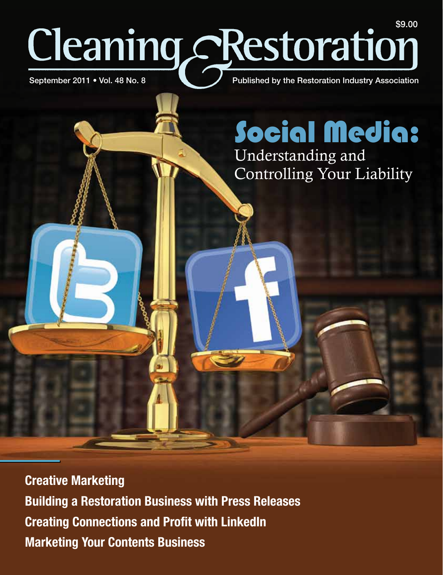# Published by the Restoration Industry Association Cleaning Restoration September 2011 • Vol. 48 No. 8

**Creative Marketing Building a Restoration Business with Press Releases Creating Connections and Profit with LinkedIn Marketing Your Contents Business** 

Social Media: Understanding and Controlling Your Liability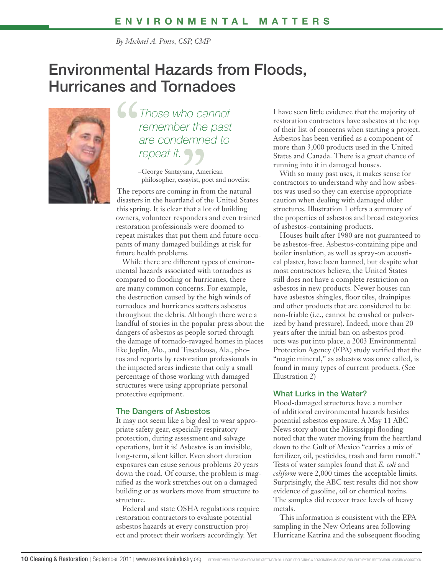*By Michael A. Pinto, CSP, CMP*

## Environmental Hazards from Floods, Hurricanes and Tornadoes



*Those who cannot remember the past are condemned to repeat it.*

> –George Santayana, American philosopher, essayist, poet and novelist

The reports are coming in from the natural disasters in the heartland of the United States this spring. It is clear that a lot of building owners, volunteer responders and even trained restoration professionals were doomed to repeat mistakes that put them and future occupants of many damaged buildings at risk for future health problems.

While there are different types of environmental hazards associated with tornadoes as compared to flooding or hurricanes, there are many common concerns. For example, the destruction caused by the high winds of tornadoes and hurricanes scatters asbestos throughout the debris. Although there were a handful of stories in the popular press about the dangers of asbestos as people sorted through the damage of tornado-ravaged homes in places like Joplin, Mo., and Tuscaloosa, Ala., photos and reports by restoration professionals in the impacted areas indicate that only a small percentage of those working with damaged structures were using appropriate personal protective equipment.

#### The Dangers of Asbestos

It may not seem like a big deal to wear appropriate safety gear, especially respiratory protection, during assessment and salvage operations, but it is! Asbestos is an invisible, long-term, silent killer. Even short duration exposures can cause serious problems 20 years down the road. Of course, the problem is magnified as the work stretches out on a damaged building or as workers move from structure to structure.

Federal and state OSHA regulations require restoration contractors to evaluate potential asbestos hazards at every construction project and protect their workers accordingly. Yet

I have seen little evidence that the majority of restoration contractors have asbestos at the top of their list of concerns when starting a project. Asbestos has been verified as a component of more than 3,000 products used in the United States and Canada. There is a great chance of running into it in damaged houses.

With so many past uses, it makes sense for contractors to understand why and how asbestos was used so they can exercise appropriate caution when dealing with damaged older structures. Illustration 1 offers a summary of the properties of asbestos and broad categories of asbestos-containing products.

Houses built after 1980 are not guaranteed to be asbestos-free. Asbestos-containing pipe and boiler insulation, as well as spray-on acoustical plaster, have been banned, but despite what most contractors believe, the United States still does not have a complete restriction on asbestos in new products. Newer houses can have asbestos shingles, floor tiles, drainpipes and other products that are considered to be non-friable (i.e., cannot be crushed or pulverized by hand pressure). Indeed, more than 20 years after the initial ban on asbestos products was put into place, a 2003 Environmental Protection Agency (EPA) study verified that the "magic mineral," as asbestos was once called, is found in many types of current products. (See Illustration 2)

#### What Lurks in the Water?

Flood-damaged structures have a number of additional environmental hazards besides potential asbestos exposure. A May 11 ABC News story about the Mississippi flooding noted that the water moving from the heartland down to the Gulf of Mexico "carries a mix of fertilizer, oil, pesticides, trash and farm runoff." Tests of water samples found that *E. coli* and *coliform* were 2,000 times the acceptable limits. Surprisingly, the ABC test results did not show evidence of gasoline, oil or chemical toxins. The samples did recover trace levels of heavy metals.

This information is consistent with the EPA sampling in the New Orleans area following Hurricane Katrina and the subsequent flooding